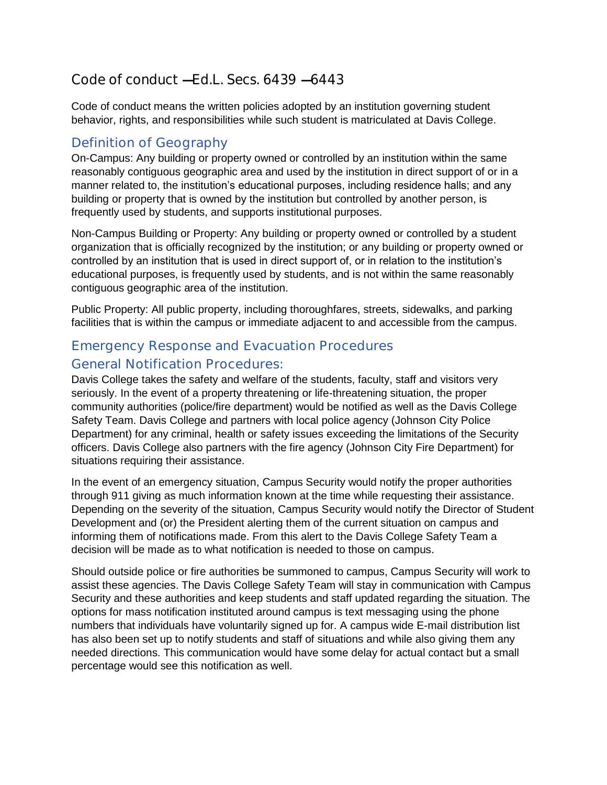# Code of conduct  $-H$ d.L. Secs. 6439  $-6443$

Code of conduct means the written policies adopted by an institution governing student behavior, rights, and responsibilities while such student is matriculated at Davis College.

# Definition of Geography

On-Campus: Any building or property owned or controlled by an institution within the same reasonably contiguous geographic area and used by the institution in direct support of or in a manner related to, the institution's educational purposes, including residence halls; and any building or property that is owned by the institution but controlled by another person, is frequently used by students, and supports institutional purposes.

Non-Campus Building or Property: Any building or property owned or controlled by a student organization that is officially recognized by the institution; or any building or property owned or controlled by an institution that is used in direct support of, or in relation to the institution's educational purposes, is frequently used by students, and is not within the same reasonably contiguous geographic area of the institution.

Public Property: All public property, including thoroughfares, streets, sidewalks, and parking facilities that is within the campus or immediate adjacent to and accessible from the campus.

# Emergency Response and Evacuation Procedures

### General Notification Procedures:

Davis College takes the safety and welfare of the students, faculty, staff and visitors very seriously. In the event of a property threatening or life-threatening situation, the proper community authorities (police/fire department) would be notified as well as the Davis College Safety Team. Davis College and partners with local police agency (Johnson City Police Department) for any criminal, health or safety issues exceeding the limitations of the Security officers. Davis College also partners with the fire agency (Johnson City Fire Department) for situations requiring their assistance.

In the event of an emergency situation, Campus Security would notify the proper authorities through 911 giving as much information known at the time while requesting their assistance. Depending on the severity of the situation, Campus Security would notify the Director of Student Development and (or) the President alerting them of the current situation on campus and informing them of notifications made. From this alert to the Davis College Safety Team a decision will be made as to what notification is needed to those on campus.

Should outside police or fire authorities be summoned to campus, Campus Security will work to assist these agencies. The Davis College Safety Team will stay in communication with Campus Security and these authorities and keep students and staff updated regarding the situation. The options for mass notification instituted around campus is text messaging using the phone numbers that individuals have voluntarily signed up for. A campus wide E-mail distribution list has also been set up to notify students and staff of situations and while also giving them any needed directions. This communication would have some delay for actual contact but a small percentage would see this notification as well.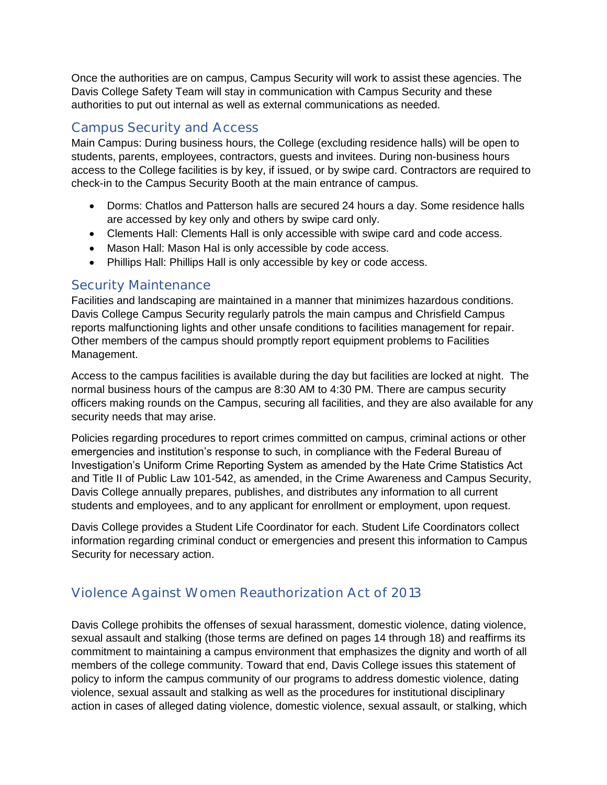Once the authorities are on campus, Campus Security will work to assist these agencies. The Davis College Safety Team will stay in communication with Campus Security and these authorities to put out internal as well as external communications as needed.

### Campus Security and Access

Main Campus: During business hours, the College (excluding residence halls) will be open to students, parents, employees, contractors, guests and invitees. During non-business hours access to the College facilities is by key, if issued, or by swipe card. Contractors are required to check-in to the Campus Security Booth at the main entrance of campus.

- Dorms: Chatlos and Patterson halls are secured 24 hours a day. Some residence halls are accessed by key only and others by swipe card only.
- Clements Hall: Clements Hall is only accessible with swipe card and code access.
- Mason Hall: Mason Hal is only accessible by code access.
- Phillips Hall: Phillips Hall is only accessible by key or code access.

### Security Maintenance

Facilities and landscaping are maintained in a manner that minimizes hazardous conditions. Davis College Campus Security regularly patrols the main campus and Chrisfield Campus reports malfunctioning lights and other unsafe conditions to facilities management for repair. Other members of the campus should promptly report equipment problems to Facilities Management.

Access to the campus facilities is available during the day but facilities are locked at night. The normal business hours of the campus are 8:30 AM to 4:30 PM. There are campus security officers making rounds on the Campus, securing all facilities, and they are also available for any security needs that may arise.

Policies regarding procedures to report crimes committed on campus, criminal actions or other emergencies and institution's response to such, in compliance with the Federal Bureau of Investigation's Uniform Crime Reporting System as amended by the Hate Crime Statistics Act and Title II of Public Law 101-542, as amended, in the Crime Awareness and Campus Security, Davis College annually prepares, publishes, and distributes any information to all current students and employees, and to any applicant for enrollment or employment, upon request.

Davis College provides a Student Life Coordinator for each. Student Life Coordinators collect information regarding criminal conduct or emergencies and present this information to Campus Security for necessary action.

# Violence Against Women Reauthorization Act of 2013

Davis College prohibits the offenses of sexual harassment, domestic violence, dating violence, sexual assault and stalking (those terms are defined on pages 14 through 18) and reaffirms its commitment to maintaining a campus environment that emphasizes the dignity and worth of all members of the college community. Toward that end, Davis College issues this statement of policy to inform the campus community of our programs to address domestic violence, dating violence, sexual assault and stalking as well as the procedures for institutional disciplinary action in cases of alleged dating violence, domestic violence, sexual assault, or stalking, which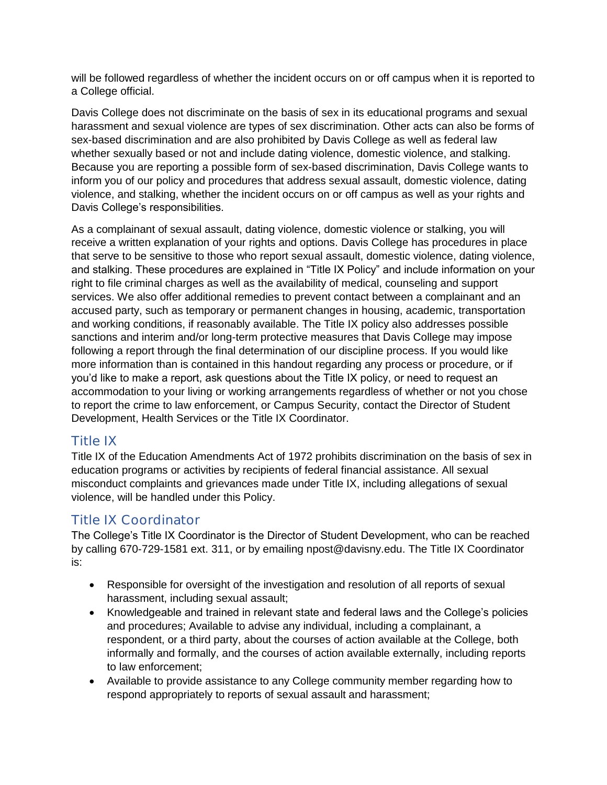will be followed regardless of whether the incident occurs on or off campus when it is reported to a College official.

Davis College does not discriminate on the basis of sex in its educational programs and sexual harassment and sexual violence are types of sex discrimination. Other acts can also be forms of sex-based discrimination and are also prohibited by Davis College as well as federal law whether sexually based or not and include dating violence, domestic violence, and stalking. Because you are reporting a possible form of sex-based discrimination, Davis College wants to inform you of our policy and procedures that address sexual assault, domestic violence, dating violence, and stalking, whether the incident occurs on or off campus as well as your rights and Davis College's responsibilities.

As a complainant of sexual assault, dating violence, domestic violence or stalking, you will receive a written explanation of your rights and options. Davis College has procedures in place that serve to be sensitive to those who report sexual assault, domestic violence, dating violence, and stalking. These procedures are explained in "Title IX Policy" and include information on your right to file criminal charges as well as the availability of medical, counseling and support services. We also offer additional remedies to prevent contact between a complainant and an accused party, such as temporary or permanent changes in housing, academic, transportation and working conditions, if reasonably available. The Title IX policy also addresses possible sanctions and interim and/or long-term protective measures that Davis College may impose following a report through the final determination of our discipline process. If you would like more information than is contained in this handout regarding any process or procedure, or if you'd like to make a report, ask questions about the Title IX policy, or need to request an accommodation to your living or working arrangements regardless of whether or not you chose to report the crime to law enforcement, or Campus Security, contact the Director of Student Development, Health Services or the Title IX Coordinator.

## Title IX

Title IX of the Education Amendments Act of 1972 prohibits discrimination on the basis of sex in education programs or activities by recipients of federal financial assistance. All sexual misconduct complaints and grievances made under Title IX, including allegations of sexual violence, will be handled under this Policy.

# Title IX Coordinator

The College's Title IX Coordinator is the Director of Student Development, who can be reached by calling 670-729-1581 ext. 311, or by emailing npost@davisny.edu. The Title IX Coordinator is:

- Responsible for oversight of the investigation and resolution of all reports of sexual harassment, including sexual assault;
- Knowledgeable and trained in relevant state and federal laws and the College's policies and procedures; Available to advise any individual, including a complainant, a respondent, or a third party, about the courses of action available at the College, both informally and formally, and the courses of action available externally, including reports to law enforcement;
- Available to provide assistance to any College community member regarding how to respond appropriately to reports of sexual assault and harassment;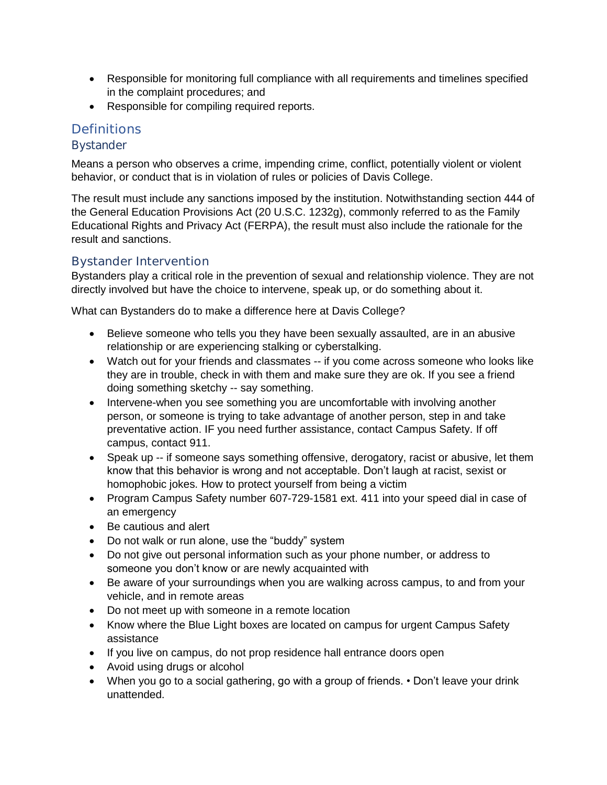- Responsible for monitoring full compliance with all requirements and timelines specified in the complaint procedures; and
- Responsible for compiling required reports.

### **Definitions**

### **Bystander**

Means a person who observes a crime, impending crime, conflict, potentially violent or violent behavior, or conduct that is in violation of rules or policies of Davis College.

The result must include any sanctions imposed by the institution. Notwithstanding section 444 of the General Education Provisions Act (20 U.S.C. 1232g), commonly referred to as the Family Educational Rights and Privacy Act (FERPA), the result must also include the rationale for the result and sanctions.

### Bystander Intervention

Bystanders play a critical role in the prevention of sexual and relationship violence. They are not directly involved but have the choice to intervene, speak up, or do something about it.

What can Bystanders do to make a difference here at Davis College?

- Believe someone who tells you they have been sexually assaulted, are in an abusive relationship or are experiencing stalking or cyberstalking.
- Watch out for your friends and classmates -- if you come across someone who looks like they are in trouble, check in with them and make sure they are ok. If you see a friend doing something sketchy -- say something.
- Intervene-when you see something you are uncomfortable with involving another person, or someone is trying to take advantage of another person, step in and take preventative action. IF you need further assistance, contact Campus Safety. If off campus, contact 911.
- Speak up -- if someone says something offensive, derogatory, racist or abusive, let them know that this behavior is wrong and not acceptable. Don't laugh at racist, sexist or homophobic jokes. How to protect yourself from being a victim
- Program Campus Safety number 607-729-1581 ext. 411 into your speed dial in case of an emergency
- Be cautious and alert
- Do not walk or run alone, use the "buddy" system
- Do not give out personal information such as your phone number, or address to someone you don't know or are newly acquainted with
- Be aware of your surroundings when you are walking across campus, to and from your vehicle, and in remote areas
- Do not meet up with someone in a remote location
- Know where the Blue Light boxes are located on campus for urgent Campus Safety assistance
- If you live on campus, do not prop residence hall entrance doors open
- Avoid using drugs or alcohol
- When you go to a social gathering, go with a group of friends. Don't leave your drink unattended.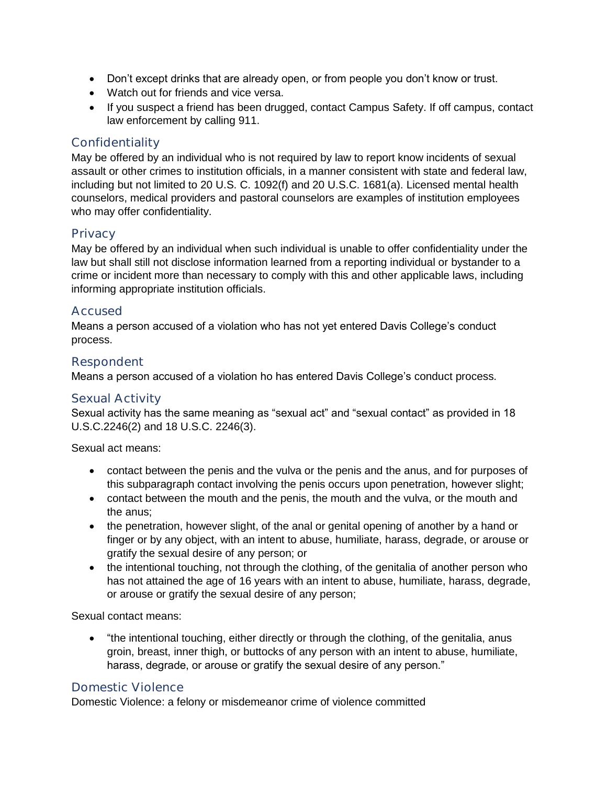- Don't except drinks that are already open, or from people you don't know or trust.
- Watch out for friends and vice versa.
- If you suspect a friend has been drugged, contact Campus Safety. If off campus, contact law enforcement by calling 911.

### Confidentiality

May be offered by an individual who is not required by law to report know incidents of sexual assault or other crimes to institution officials, in a manner consistent with state and federal law, including but not limited to 20 U.S. C. 1092(f) and 20 U.S.C. 1681(a). Licensed mental health counselors, medical providers and pastoral counselors are examples of institution employees who may offer confidentiality.

### **Privacy**

May be offered by an individual when such individual is unable to offer confidentiality under the law but shall still not disclose information learned from a reporting individual or bystander to a crime or incident more than necessary to comply with this and other applicable laws, including informing appropriate institution officials.

### Accused

Means a person accused of a violation who has not yet entered Davis College's conduct process.

### Respondent

Means a person accused of a violation ho has entered Davis College's conduct process.

#### Sexual Activity

Sexual activity has the same meaning as "sexual act" and "sexual contact" as provided in 18 U.S.C.2246(2) and 18 U.S.C. 2246(3).

Sexual act means:

- contact between the penis and the vulva or the penis and the anus, and for purposes of this subparagraph contact involving the penis occurs upon penetration, however slight;
- contact between the mouth and the penis, the mouth and the vulva, or the mouth and the anus;
- the penetration, however slight, of the anal or genital opening of another by a hand or finger or by any object, with an intent to abuse, humiliate, harass, degrade, or arouse or gratify the sexual desire of any person; or
- the intentional touching, not through the clothing, of the genitalia of another person who has not attained the age of 16 years with an intent to abuse, humiliate, harass, degrade, or arouse or gratify the sexual desire of any person;

Sexual contact means:

• "the intentional touching, either directly or through the clothing, of the genitalia, anus groin, breast, inner thigh, or buttocks of any person with an intent to abuse, humiliate, harass, degrade, or arouse or gratify the sexual desire of any person."

### Domestic Violence

Domestic Violence: a felony or misdemeanor crime of violence committed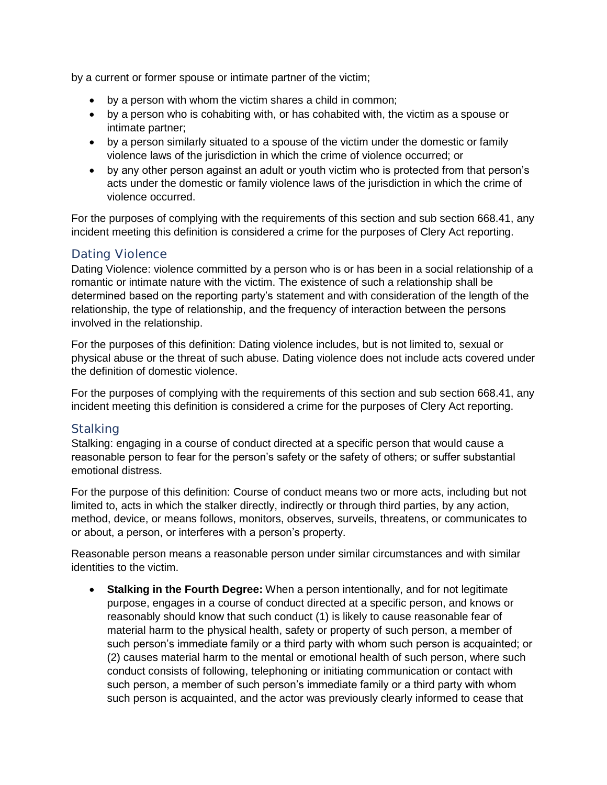by a current or former spouse or intimate partner of the victim;

- by a person with whom the victim shares a child in common;
- by a person who is cohabiting with, or has cohabited with, the victim as a spouse or intimate partner;
- by a person similarly situated to a spouse of the victim under the domestic or family violence laws of the jurisdiction in which the crime of violence occurred; or
- by any other person against an adult or youth victim who is protected from that person's acts under the domestic or family violence laws of the jurisdiction in which the crime of violence occurred.

For the purposes of complying with the requirements of this section and sub section 668.41, any incident meeting this definition is considered a crime for the purposes of Clery Act reporting.

### Dating Violence

Dating Violence: violence committed by a person who is or has been in a social relationship of a romantic or intimate nature with the victim. The existence of such a relationship shall be determined based on the reporting party's statement and with consideration of the length of the relationship, the type of relationship, and the frequency of interaction between the persons involved in the relationship.

For the purposes of this definition: Dating violence includes, but is not limited to, sexual or physical abuse or the threat of such abuse. Dating violence does not include acts covered under the definition of domestic violence.

For the purposes of complying with the requirements of this section and sub section 668.41, any incident meeting this definition is considered a crime for the purposes of Clery Act reporting.

### **Stalking**

Stalking: engaging in a course of conduct directed at a specific person that would cause a reasonable person to fear for the person's safety or the safety of others; or suffer substantial emotional distress.

For the purpose of this definition: Course of conduct means two or more acts, including but not limited to, acts in which the stalker directly, indirectly or through third parties, by any action, method, device, or means follows, monitors, observes, surveils, threatens, or communicates to or about, a person, or interferes with a person's property.

Reasonable person means a reasonable person under similar circumstances and with similar identities to the victim.

• **Stalking in the Fourth Degree:** When a person intentionally, and for not legitimate purpose, engages in a course of conduct directed at a specific person, and knows or reasonably should know that such conduct (1) is likely to cause reasonable fear of material harm to the physical health, safety or property of such person, a member of such person's immediate family or a third party with whom such person is acquainted; or (2) causes material harm to the mental or emotional health of such person, where such conduct consists of following, telephoning or initiating communication or contact with such person, a member of such person's immediate family or a third party with whom such person is acquainted, and the actor was previously clearly informed to cease that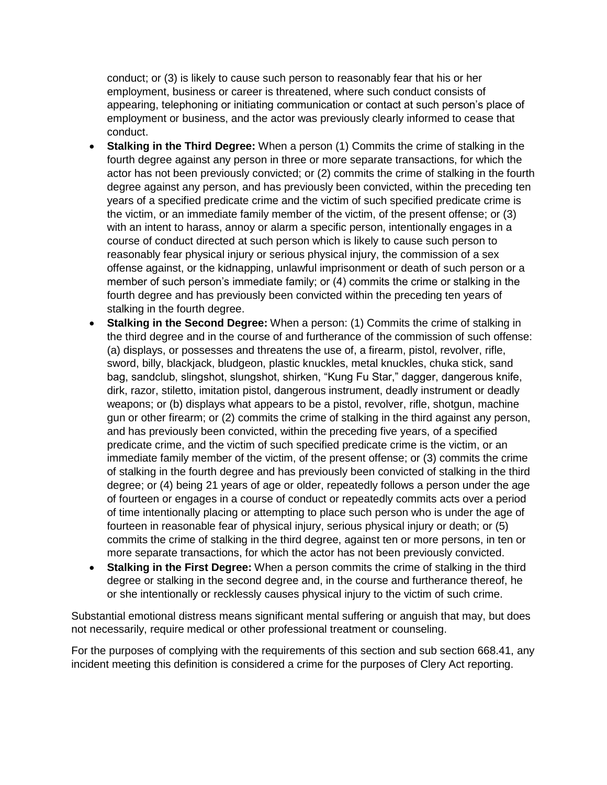conduct; or (3) is likely to cause such person to reasonably fear that his or her employment, business or career is threatened, where such conduct consists of appearing, telephoning or initiating communication or contact at such person's place of employment or business, and the actor was previously clearly informed to cease that conduct.

- **Stalking in the Third Degree:** When a person (1) Commits the crime of stalking in the fourth degree against any person in three or more separate transactions, for which the actor has not been previously convicted; or (2) commits the crime of stalking in the fourth degree against any person, and has previously been convicted, within the preceding ten years of a specified predicate crime and the victim of such specified predicate crime is the victim, or an immediate family member of the victim, of the present offense; or (3) with an intent to harass, annoy or alarm a specific person, intentionally engages in a course of conduct directed at such person which is likely to cause such person to reasonably fear physical injury or serious physical injury, the commission of a sex offense against, or the kidnapping, unlawful imprisonment or death of such person or a member of such person's immediate family; or (4) commits the crime or stalking in the fourth degree and has previously been convicted within the preceding ten years of stalking in the fourth degree.
- **Stalking in the Second Degree:** When a person: (1) Commits the crime of stalking in the third degree and in the course of and furtherance of the commission of such offense: (a) displays, or possesses and threatens the use of, a firearm, pistol, revolver, rifle, sword, billy, blackjack, bludgeon, plastic knuckles, metal knuckles, chuka stick, sand bag, sandclub, slingshot, slungshot, shirken, "Kung Fu Star," dagger, dangerous knife, dirk, razor, stiletto, imitation pistol, dangerous instrument, deadly instrument or deadly weapons; or (b) displays what appears to be a pistol, revolver, rifle, shotgun, machine gun or other firearm; or (2) commits the crime of stalking in the third against any person, and has previously been convicted, within the preceding five years, of a specified predicate crime, and the victim of such specified predicate crime is the victim, or an immediate family member of the victim, of the present offense; or (3) commits the crime of stalking in the fourth degree and has previously been convicted of stalking in the third degree; or (4) being 21 years of age or older, repeatedly follows a person under the age of fourteen or engages in a course of conduct or repeatedly commits acts over a period of time intentionally placing or attempting to place such person who is under the age of fourteen in reasonable fear of physical injury, serious physical injury or death; or (5) commits the crime of stalking in the third degree, against ten or more persons, in ten or more separate transactions, for which the actor has not been previously convicted.
- **Stalking in the First Degree:** When a person commits the crime of stalking in the third degree or stalking in the second degree and, in the course and furtherance thereof, he or she intentionally or recklessly causes physical injury to the victim of such crime.

Substantial emotional distress means significant mental suffering or anguish that may, but does not necessarily, require medical or other professional treatment or counseling.

For the purposes of complying with the requirements of this section and sub section 668.41, any incident meeting this definition is considered a crime for the purposes of Clery Act reporting.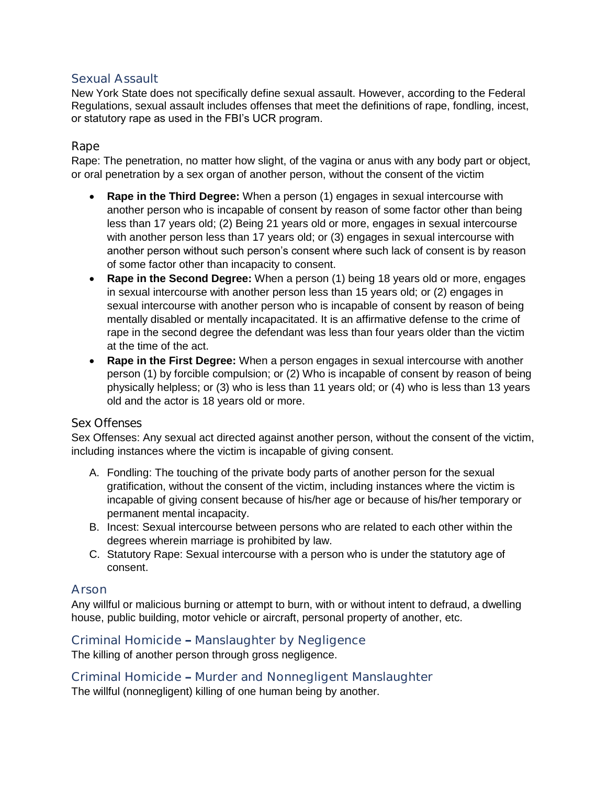### Sexual Assault

New York State does not specifically define sexual assault. However, according to the Federal Regulations, sexual assault includes offenses that meet the definitions of rape, fondling, incest, or statutory rape as used in the FBI's UCR program.

### Rape

Rape: The penetration, no matter how slight, of the vagina or anus with any body part or object, or oral penetration by a sex organ of another person, without the consent of the victim

- **Rape in the Third Degree:** When a person (1) engages in sexual intercourse with another person who is incapable of consent by reason of some factor other than being less than 17 years old; (2) Being 21 years old or more, engages in sexual intercourse with another person less than 17 years old; or (3) engages in sexual intercourse with another person without such person's consent where such lack of consent is by reason of some factor other than incapacity to consent.
- **Rape in the Second Degree:** When a person (1) being 18 years old or more, engages in sexual intercourse with another person less than 15 years old; or (2) engages in sexual intercourse with another person who is incapable of consent by reason of being mentally disabled or mentally incapacitated. It is an affirmative defense to the crime of rape in the second degree the defendant was less than four years older than the victim at the time of the act.
- **Rape in the First Degree:** When a person engages in sexual intercourse with another person (1) by forcible compulsion; or (2) Who is incapable of consent by reason of being physically helpless; or (3) who is less than 11 years old; or (4) who is less than 13 years old and the actor is 18 years old or more.

#### Sex Offenses

Sex Offenses: Any sexual act directed against another person, without the consent of the victim, including instances where the victim is incapable of giving consent.

- A. Fondling: The touching of the private body parts of another person for the sexual gratification, without the consent of the victim, including instances where the victim is incapable of giving consent because of his/her age or because of his/her temporary or permanent mental incapacity.
- B. Incest: Sexual intercourse between persons who are related to each other within the degrees wherein marriage is prohibited by law.
- C. Statutory Rape: Sexual intercourse with a person who is under the statutory age of consent.

### Arson

Any willful or malicious burning or attempt to burn, with or without intent to defraud, a dwelling house, public building, motor vehicle or aircraft, personal property of another, etc.

### Criminal Homicide - Manslaughter by Negligence

The killing of another person through gross negligence.

Criminal Homicide - Murder and Nonnegligent Manslaughter

The willful (nonnegligent) killing of one human being by another.